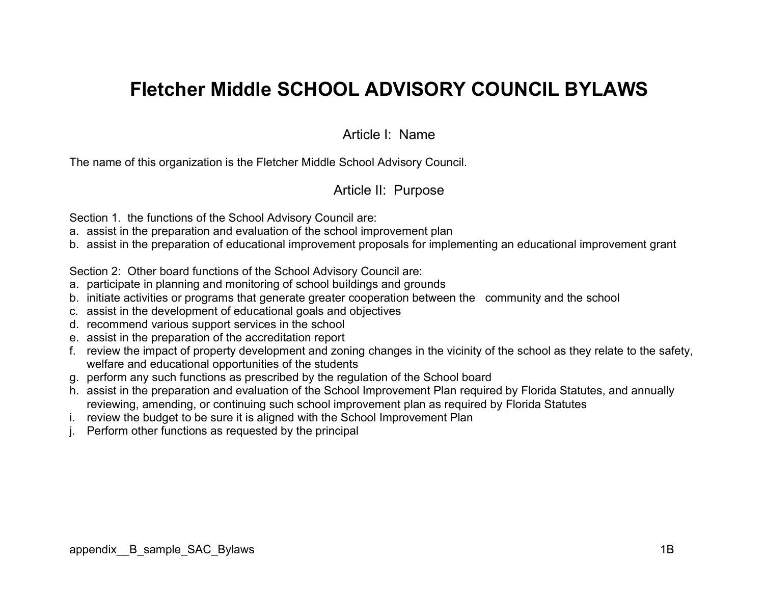# Fletcher Middle SCHOOL ADVISORY COUNCIL BYLAWS

### Article I: Name

The name of this organization is the Fletcher Middle School Advisory Council.

### Article II: Purpose

Section 1. the functions of the School Advisory Council are:

- a. assist in the preparation and evaluation of the school improvement plan
- b. assist in the preparation of educational improvement proposals for implementing an educational improvement grant

Section 2: Other board functions of the School Advisory Council are:

- a. participate in planning and monitoring of school buildings and grounds
- b. initiate activities or programs that generate greater cooperation between the community and the school
- c. assist in the development of educational goals and objectives
- d. recommend various support services in the school
- e. assist in the preparation of the accreditation report
- f. review the impact of property development and zoning changes in the vicinity of the school as they relate to the safety, welfare and educational opportunities of the students
- g. perform any such functions as prescribed by the regulation of the School board
- h. assist in the preparation and evaluation of the School Improvement Plan required by Florida Statutes, and annually reviewing, amending, or continuing such school improvement plan as required by Florida Statutes
- i. review the budget to be sure it is aligned with the School Improvement Plan
- j. Perform other functions as requested by the principal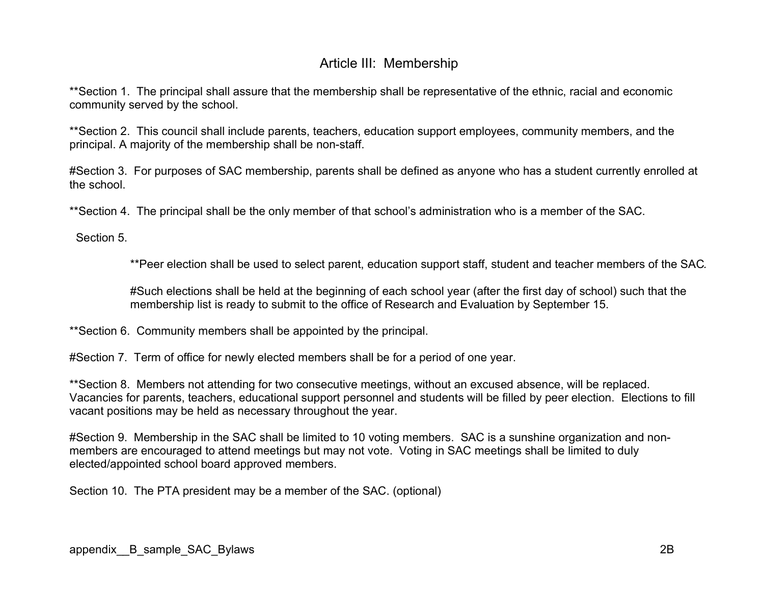# Article III: Membership

\*\*Section 1. The principal shall assure that the membership shall be representative of the ethnic, racial and economic community served by the school.

\*\*Section 2. This council shall include parents, teachers, education support employees, community members, and the principal. A majority of the membership shall be non-staff.

#Section 3. For purposes of SAC membership, parents shall be defined as anyone who has a student currently enrolled at the school.

\*\*Section 4. The principal shall be the only member of that school's administration who is a member of the SAC.

Section 5.

\*\*Peer election shall be used to select parent, education support staff, student and teacher members of the SAC.

#Such elections shall be held at the beginning of each school year (after the first day of school) such that the membership list is ready to submit to the office of Research and Evaluation by September 15.

\*\*Section 6. Community members shall be appointed by the principal.

#Section 7. Term of office for newly elected members shall be for a period of one year.

\*\*Section 8. Members not attending for two consecutive meetings, without an excused absence, will be replaced. Vacancies for parents, teachers, educational support personnel and students will be filled by peer election. Elections to fill vacant positions may be held as necessary throughout the year.

#Section 9. Membership in the SAC shall be limited to 10 voting members. SAC is a sunshine organization and nonmembers are encouraged to attend meetings but may not vote. Voting in SAC meetings shall be limited to duly elected/appointed school board approved members.

Section 10. The PTA president may be a member of the SAC. (optional)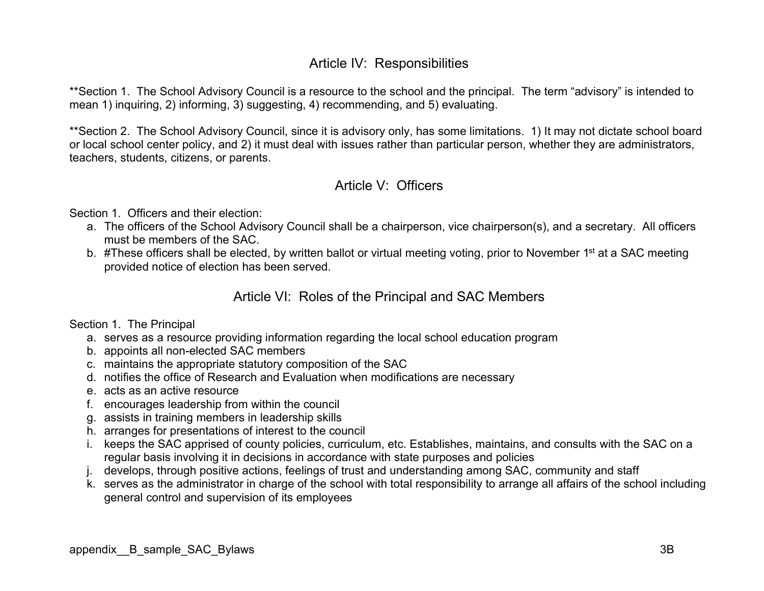# Article IV: Responsibilities

\*\*Section 1. The School Advisory Council is a resource to the school and the principal. The term "advisory" is intended to mean 1) inquiring, 2) informing, 3) suggesting, 4) recommending, and 5) evaluating.

\*\*Section 2. The School Advisory Council, since it is advisory only, has some limitations. 1) It may not dictate school board or local school center policy, and 2) it must deal with issues rather than particular person, whether they are administrators, teachers, students, citizens, or parents.

### Article V: Officers

Section 1. Officers and their election:

- a. The officers of the School Advisory Council shall be a chairperson, vice chairperson(s), and a secretary. All officers must be members of the SAC.
- b. #These officers shall be elected, by written ballot or virtual meeting voting, prior to November 1<sup>st</sup> at a SAC meeting provided notice of election has been served.

### Article VI: Roles of the Principal and SAC Members

#### Section 1. The Principal

- a. serves as a resource providing information regarding the local school education program
- b. appoints all non-elected SAC members
- c. maintains the appropriate statutory composition of the SAC
- d. notifies the office of Research and Evaluation when modifications are necessary
- e. acts as an active resource
- f. encourages leadership from within the council
- g. assists in training members in leadership skills
- h. arranges for presentations of interest to the council
- i. keeps the SAC apprised of county policies, curriculum, etc. Establishes, maintains, and consults with the SAC on a regular basis involving it in decisions in accordance with state purposes and policies
- j. develops, through positive actions, feelings of trust and understanding among SAC, community and staff
- k. serves as the administrator in charge of the school with total responsibility to arrange all affairs of the school including general control and supervision of its employees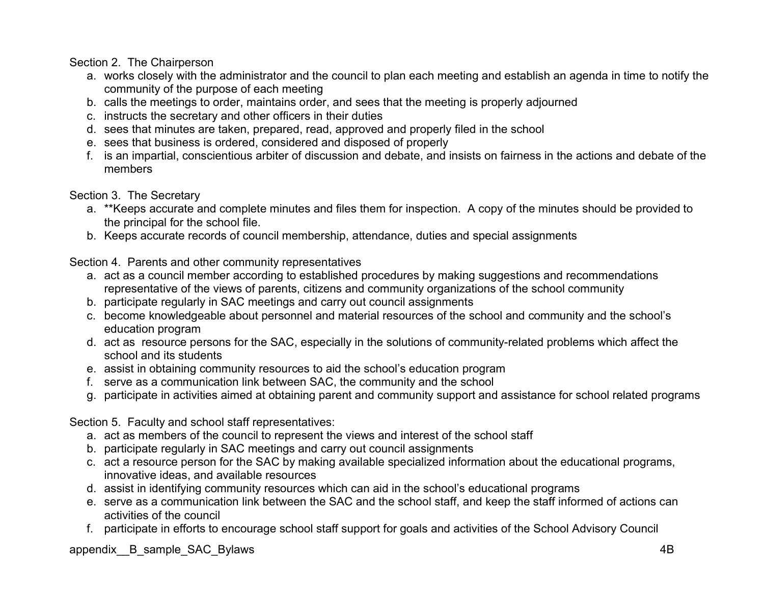Section 2. The Chairperson

- a. works closely with the administrator and the council to plan each meeting and establish an agenda in time to notify the community of the purpose of each meeting
- b. calls the meetings to order, maintains order, and sees that the meeting is properly adjourned
- c. instructs the secretary and other officers in their duties
- d. sees that minutes are taken, prepared, read, approved and properly filed in the school
- e. sees that business is ordered, considered and disposed of properly
- f. is an impartial, conscientious arbiter of discussion and debate, and insists on fairness in the actions and debate of the members

Section 3. The Secretary

- a. \*\*Keeps accurate and complete minutes and files them for inspection. A copy of the minutes should be provided to the principal for the school file.
- b. Keeps accurate records of council membership, attendance, duties and special assignments

Section 4. Parents and other community representatives

- a. act as a council member according to established procedures by making suggestions and recommendations representative of the views of parents, citizens and community organizations of the school community
- b. participate regularly in SAC meetings and carry out council assignments
- c. become knowledgeable about personnel and material resources of the school and community and the school's education program
- d. act as resource persons for the SAC, especially in the solutions of community-related problems which affect the school and its students
- e. assist in obtaining community resources to aid the school's education program
- f. serve as a communication link between SAC, the community and the school
- g. participate in activities aimed at obtaining parent and community support and assistance for school related programs

Section 5. Faculty and school staff representatives:

- a. act as members of the council to represent the views and interest of the school staff
- b. participate regularly in SAC meetings and carry out council assignments
- c. act a resource person for the SAC by making available specialized information about the educational programs, innovative ideas, and available resources
- d. assist in identifying community resources which can aid in the school's educational programs
- e. serve as a communication link between the SAC and the school staff, and keep the staff informed of actions can activities of the council
- f. participate in efforts to encourage school staff support for goals and activities of the School Advisory Council

appendix\_B\_sample\_SAC\_Bylaws 4B